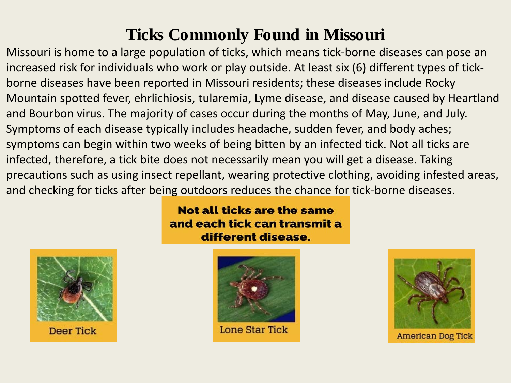Missouri is home to a large population of ticks, which means tick-borne diseases can pose an increased risk for individuals who work or play outside. At least six (6) different types of tickborne diseases have been reported in Missouri residents; these diseases include Rocky Mountain spotted fever, ehrlichiosis, tularemia, Lyme disease, and disease caused by Heartland and Bourbon virus. The majority of cases occur during the months of May, June, and July. Symptoms of each disease typically includes headache, sudden fever, and body aches; symptoms can begin within two weeks of being bitten by an infected tick. Not all ticks are infected, therefore, a tick bite does not necessarily mean you will get a disease. Taking precautions such as using insect repellant, wearing protective clothing, avoiding infested areas, and checking for ticks after being outdoors reduces the chance for tick-borne diseases.

> **Not all ticks are the same** and each tick can transmit a different disease.



**Deer Tick** 



**Lone Star Tick** 



American Dog Tick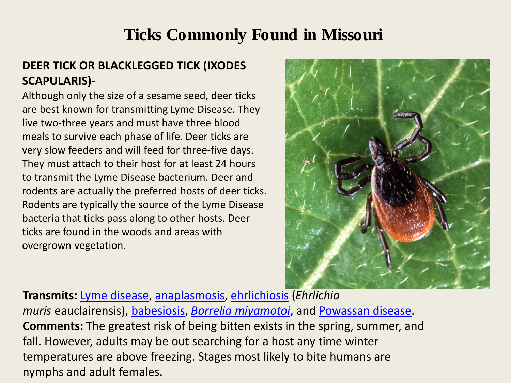#### **DEER TICK OR BLACKLEGGED TICK (IXODES SCAPULARIS)-**

Although only the size of a sesame seed, deer ticks are best known for transmitting Lyme Disease. They live two-three years and must have three blood meals to survive each phase of life. Deer ticks are very slow feeders and will feed for three-five days. They must attach to their host for at least 24 hours to transmit the Lyme Disease bacterium. Deer and rodents are actually the preferred hosts of deer ticks. Rodents are typically the source of the Lyme Disease bacteria that ticks pass along to other hosts. Deer ticks are found in the woods and areas with overgrown vegetation.



**Transmits:** [Lyme disease,](https://www.cdc.gov/lyme/index.html) [anaplasmosis,](https://www.cdc.gov/anaplasmosis/) [ehrlichiosis](https://www.cdc.gov/ehrlichiosis/) (*Ehrlichia muris* eauclairensis), [babesiosis,](https://www.cdc.gov/parasites/babesiosis/) *[Borrelia](https://www.cdc.gov/ticks/miyamotoi.html) [miyamotoi](https://www.cdc.gov/ticks/miyamotoi.html)*, and [Powassan disease.](https://www.cdc.gov/powassan/index.html) **Comments:** The greatest risk of being bitten exists in the spring, summer, and fall. However, adults may be out searching for a host any time winter temperatures are above freezing. Stages most likely to bite humans are nymphs and adult females.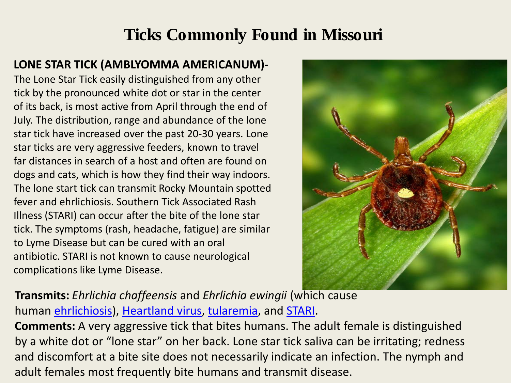#### **LONE STAR TICK (AMBLYOMMA AMERICANUM)-**

The Lone Star Tick easily distinguished from any other tick by the pronounced white dot or star in the center of its back, is most active from April through the end of July. The distribution, range and abundance of the lone star tick have increased over the past 20-30 years. Lone star ticks are very aggressive feeders, known to travel far distances in search of a host and often are found on dogs and cats, which is how they find their way indoors. The lone start tick can transmit Rocky Mountain spotted fever and ehrlichiosis. Southern Tick Associated Rash Illness (STARI) can occur after the bite of the lone star tick. The symptoms (rash, headache, fatigue) are similar to Lyme Disease but can be cured with an oral antibiotic. STARI is not known to cause neurological complications like Lyme Disease.



**Transmits:** *Ehrlichia chaffeensis* and *Ehrlichia ewingii* (which cause human [ehrlichiosis](http://www.cdc.gov/ehrlichiosis/)), [Heartland virus](https://www.cdc.gov/heartland-virus/index.html), [tularemia](http://www.cdc.gov/tularemia/), and [STARI.](http://www.cdc.gov/stari/)

**Comments:** A very aggressive tick that bites humans. The adult female is distinguished by a white dot or "lone star" on her back. Lone star tick saliva can be irritating; redness and discomfort at a bite site does not necessarily indicate an infection. The nymph and adult females most frequently bite humans and transmit disease.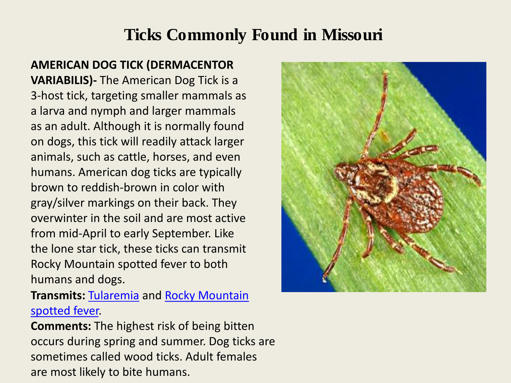**AMERICAN DOG TICK (DERMACENTOR VARIABILIS)-** The American Dog Tick is a 3-host tick, targeting smaller mammals as a larva and nymph and larger mammals as an adult. Although it is normally found on dogs, this tick will readily attack larger animals, such as cattle, horses, and even humans. American dog ticks are typically brown to reddish-brown in color with gray/silver markings on their back. They overwinter in the soil and are most active from mid-April to early September. Like the lone star tick, these ticks can transmit Rocky Mountain spotted fever to both humans and dogs.

#### **Transmits:** [Tularemia](https://www.cdc.gov/tularemia/) and [Rocky Mountain](https://www.cdc.gov/rmsf/)  [spotted fever.](https://www.cdc.gov/rmsf/)

**Comments:** The highest risk of being bitten occurs during spring and summer. Dog ticks are sometimes called wood ticks. Adult females are most likely to bite humans.

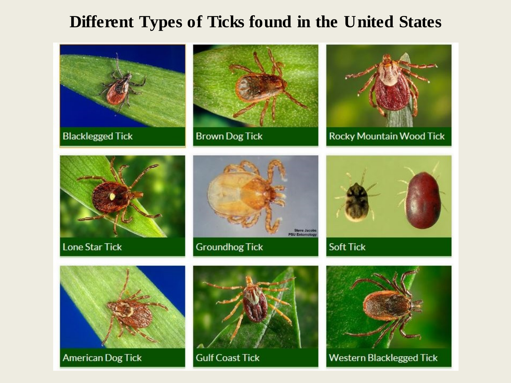#### **Different Types of Ticks found in the United States**

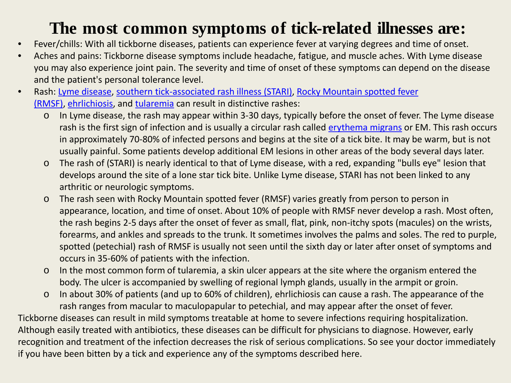### **The most common symptoms of tick-related illnesses are:**

- Fever/chills: With all tickborne diseases, patients can experience fever at varying degrees and time of onset.
- Aches and pains: Tickborne disease symptoms include headache, fatigue, and muscle aches. With Lyme disease you may also experience joint pain. The severity and time of onset of these symptoms can depend on the disease and the patient's personal tolerance level.
- Rash: [Lyme disease](https://www.cdc.gov/lyme/index.html), [southern tick-associated rash illness \(STARI\)](http://www.cdc.gov/stari/), [Rocky Mountain spotted fever](http://www.cdc.gov/rmsf/)  [\(RMSF\),](http://www.cdc.gov/rmsf/) [ehrlichiosis](http://www.cdc.gov/ehrlichiosis/), and [tularemia](http://www.cdc.gov/tularemia/) can result in distinctive rashes:
	- o In Lyme disease, the rash may appear within 3-30 days, typically before the onset of fever. The Lyme disease rash is the first sign of infection and is usually a circular rash called [erythema migrans](https://www.cdc.gov/lyme/signs_symptoms/index.html) or EM. This rash occurs in approximately 70-80% of infected persons and begins at the site of a tick bite. It may be warm, but is not usually painful. Some patients develop additional EM lesions in other areas of the body several days later.
	- o The rash of (STARI) is nearly identical to that of Lyme disease, with a red, expanding "bulls eye" lesion that develops around the site of a lone star tick bite. Unlike Lyme disease, STARI has not been linked to any arthritic or neurologic symptoms.
	- o The rash seen with Rocky Mountain spotted fever (RMSF) varies greatly from person to person in appearance, location, and time of onset. About 10% of people with RMSF never develop a rash. Most often, the rash begins 2-5 days after the onset of fever as small, flat, pink, non-itchy spots (macules) on the wrists, forearms, and ankles and spreads to the trunk. It sometimes involves the palms and soles. The red to purple, spotted (petechial) rash of RMSF is usually not seen until the sixth day or later after onset of symptoms and occurs in 35-60% of patients with the infection.
	- o In the most common form of tularemia, a skin ulcer appears at the site where the organism entered the body. The ulcer is accompanied by swelling of regional lymph glands, usually in the armpit or groin.
	- o In about 30% of patients (and up to 60% of children), ehrlichiosis can cause a rash. The appearance of the rash ranges from macular to maculopapular to petechial, and may appear after the onset of fever.

Tickborne diseases can result in mild symptoms treatable at home to severe infections requiring hospitalization. Although easily treated with antibiotics, these diseases can be difficult for physicians to diagnose. However, early recognition and treatment of the infection decreases the risk of serious complications. So see your doctor immediately if you have been bitten by a tick and experience any of the symptoms described here.